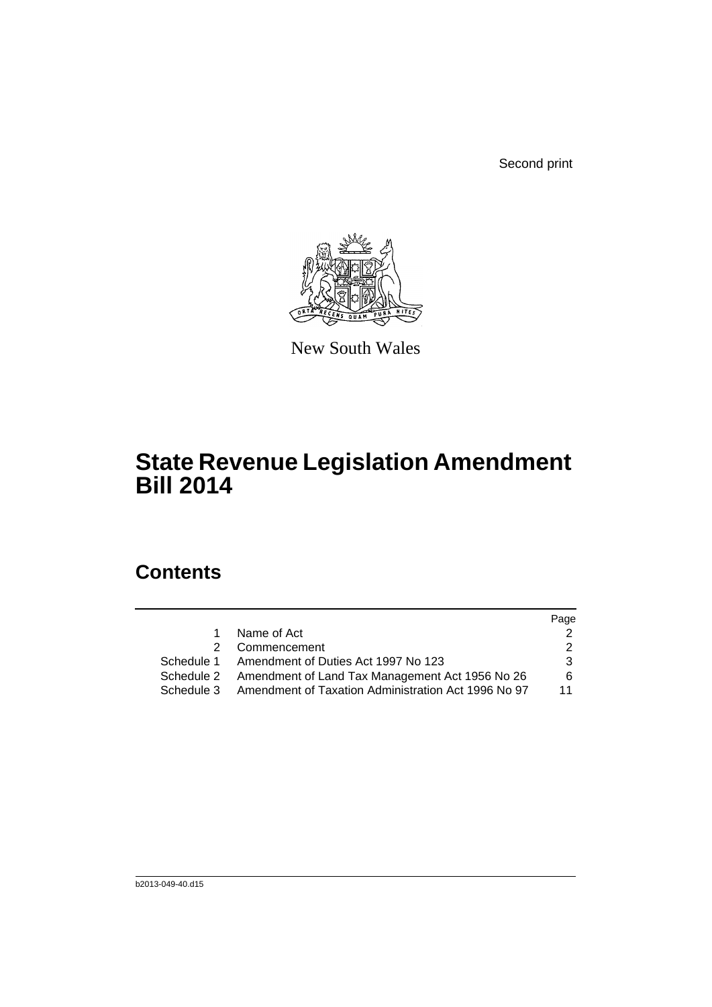Second print



New South Wales

# **State Revenue Legislation Amendment Bill 2014**

# **Contents**

|   |                                                                | Page |
|---|----------------------------------------------------------------|------|
| 1 | Name of Act                                                    |      |
|   | 2 Commencement                                                 |      |
|   | Schedule 1 Amendment of Duties Act 1997 No 123                 | 3    |
|   | Schedule 2 Amendment of Land Tax Management Act 1956 No 26     | 6    |
|   | Schedule 3 Amendment of Taxation Administration Act 1996 No 97 | 11   |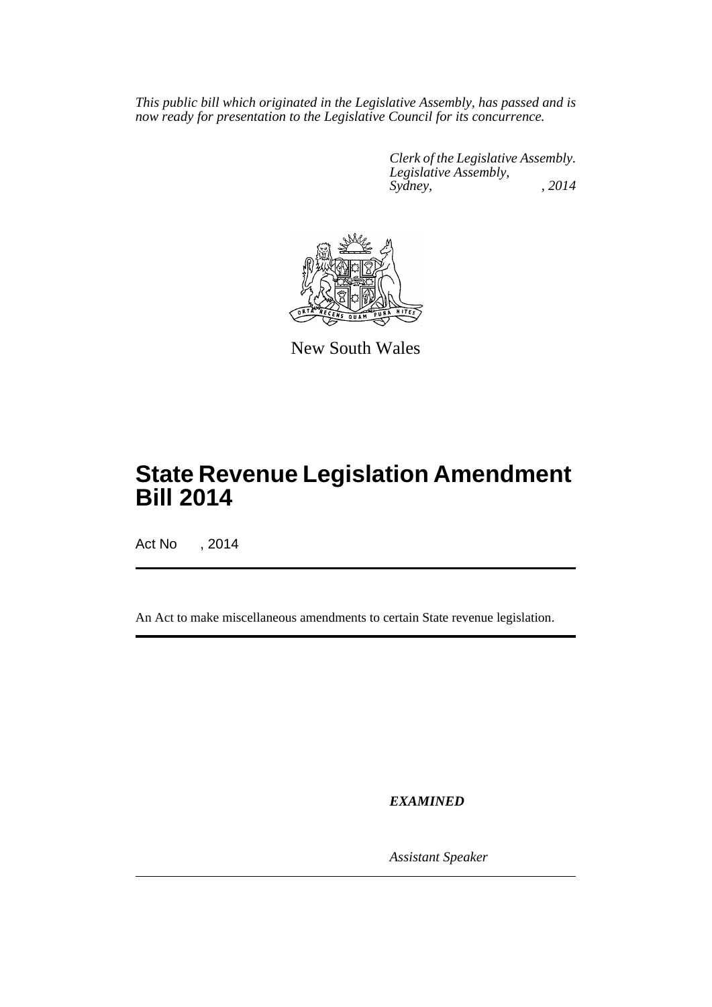*This public bill which originated in the Legislative Assembly, has passed and is now ready for presentation to the Legislative Council for its concurrence.*

> *Clerk of the Legislative Assembly. Legislative Assembly, Sydney, , 2014*



New South Wales

# **State Revenue Legislation Amendment Bill 2014**

Act No , 2014

An Act to make miscellaneous amendments to certain State revenue legislation.

*EXAMINED*

*Assistant Speaker*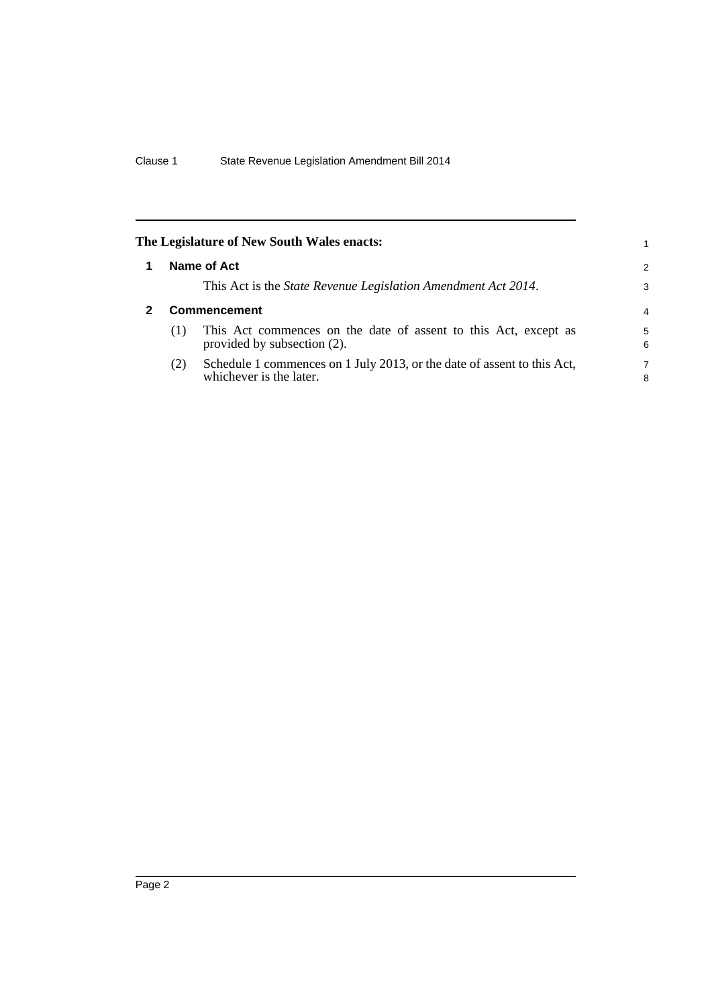<span id="page-2-1"></span><span id="page-2-0"></span>

|     | The Legislature of New South Wales enacts:                                                         |                |
|-----|----------------------------------------------------------------------------------------------------|----------------|
|     | Name of Act                                                                                        | $\overline{2}$ |
|     | This Act is the <i>State Revenue Legislation Amendment Act 2014</i> .                              | 3              |
|     | <b>Commencement</b>                                                                                | $\overline{4}$ |
| (1) | This Act commences on the date of assent to this Act, except as<br>provided by subsection (2).     | 5<br>6         |
| (2) | Schedule 1 commences on 1 July 2013, or the date of assent to this Act,<br>whichever is the later. | 7<br>8         |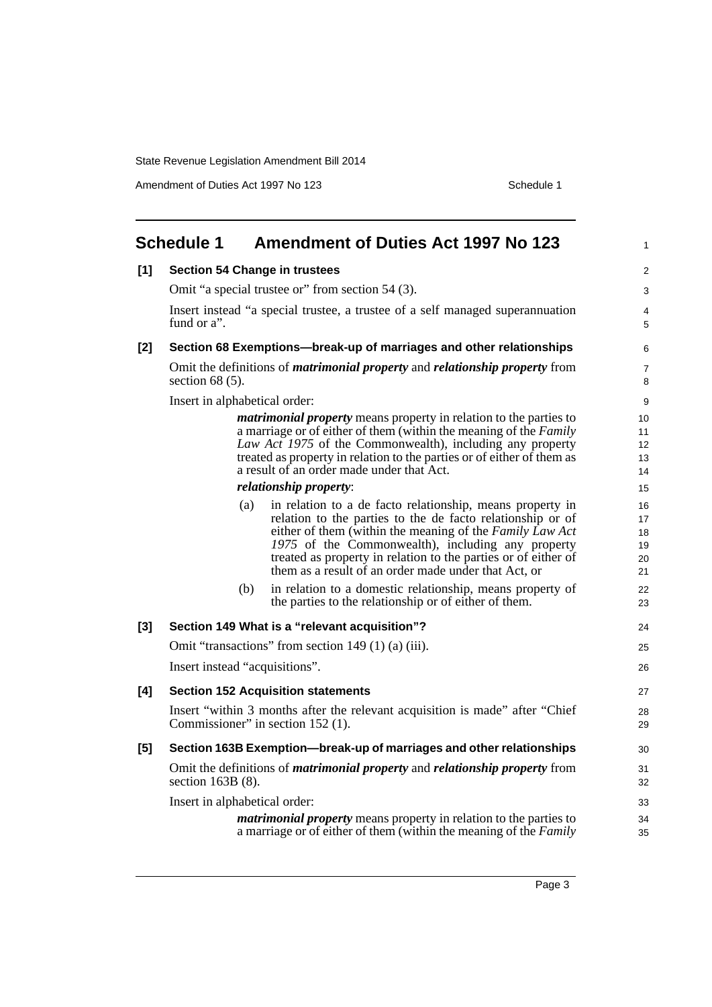Amendment of Duties Act 1997 No 123 Schedule 1

<span id="page-3-0"></span>

|       | <b>Schedule 1</b>              | <b>Amendment of Duties Act 1997 No 123</b>                                                                                                                                                                                                                                                                                                                         | $\mathbf{1}$                     |
|-------|--------------------------------|--------------------------------------------------------------------------------------------------------------------------------------------------------------------------------------------------------------------------------------------------------------------------------------------------------------------------------------------------------------------|----------------------------------|
| [1]   |                                | <b>Section 54 Change in trustees</b>                                                                                                                                                                                                                                                                                                                               | 2                                |
|       |                                | Omit "a special trustee or" from section 54 (3).                                                                                                                                                                                                                                                                                                                   | 3                                |
|       | fund or a".                    | Insert instead "a special trustee, a trustee of a self managed superannuation                                                                                                                                                                                                                                                                                      | 4<br>5                           |
| $[2]$ |                                | Section 68 Exemptions-break-up of marriages and other relationships                                                                                                                                                                                                                                                                                                | 6                                |
|       | section $68(5)$ .              | Omit the definitions of <i>matrimonial property</i> and <i>relationship property</i> from                                                                                                                                                                                                                                                                          | $\overline{7}$<br>8              |
|       | Insert in alphabetical order:  |                                                                                                                                                                                                                                                                                                                                                                    | 9                                |
|       |                                | <i>matrimonial property</i> means property in relation to the parties to<br>a marriage or of either of them (within the meaning of the Family<br>Law Act 1975 of the Commonwealth), including any property<br>treated as property in relation to the parties or of either of them as<br>a result of an order made under that Act.                                  | 10<br>11<br>12<br>13<br>14       |
|       |                                | relationship property:                                                                                                                                                                                                                                                                                                                                             | 15                               |
|       | (a)                            | in relation to a de facto relationship, means property in<br>relation to the parties to the de facto relationship or of<br>either of them (within the meaning of the Family Law Act<br>1975 of the Commonwealth), including any property<br>treated as property in relation to the parties or of either of<br>them as a result of an order made under that Act, or | 16<br>17<br>18<br>19<br>20<br>21 |
|       | (b)                            | in relation to a domestic relationship, means property of<br>the parties to the relationship or of either of them.                                                                                                                                                                                                                                                 | 22<br>23                         |
| $[3]$ |                                | Section 149 What is a "relevant acquisition"?                                                                                                                                                                                                                                                                                                                      | 24                               |
|       |                                | Omit "transactions" from section 149 (1) (a) (iii).                                                                                                                                                                                                                                                                                                                | 25                               |
|       | Insert instead "acquisitions". |                                                                                                                                                                                                                                                                                                                                                                    | 26                               |
| [4]   |                                | <b>Section 152 Acquisition statements</b>                                                                                                                                                                                                                                                                                                                          | 27                               |
|       |                                | Insert "within 3 months after the relevant acquisition is made" after "Chief"<br>Commissioner" in section 152 (1).                                                                                                                                                                                                                                                 | 28<br>29                         |
| [5]   |                                | Section 163B Exemption—break-up of marriages and other relationships                                                                                                                                                                                                                                                                                               | 30                               |
|       | section $163B(8)$ .            | Omit the definitions of <i>matrimonial property</i> and <i>relationship property</i> from                                                                                                                                                                                                                                                                          | 31<br>32                         |
|       | Insert in alphabetical order:  |                                                                                                                                                                                                                                                                                                                                                                    | 33                               |
|       |                                | <i>matrimonial property</i> means property in relation to the parties to<br>a marriage or of either of them (within the meaning of the Family                                                                                                                                                                                                                      | 34<br>35                         |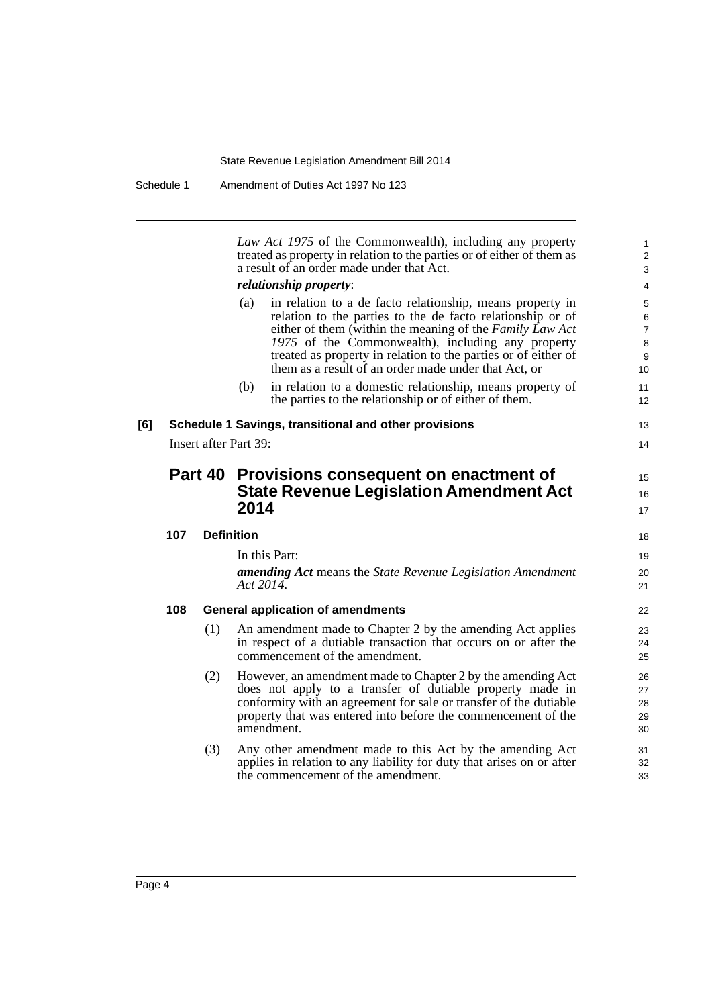*Law Act 1975* of the Commonwealth), including any property treated as property in relation to the parties or of either of them as a result of an order made under that Act. *relationship property*: (a) in relation to a de facto relationship, means property in relation to the parties to the de facto relationship or of either of them (within the meaning of the *Family Law Act 1975* of the Commonwealth), including any property treated as property in relation to the parties or of either of them as a result of an order made under that Act, or (b) in relation to a domestic relationship, means property of the parties to the relationship or of either of them. **[6] Schedule 1 Savings, transitional and other provisions** Insert after Part 39: **Part 40 Provisions consequent on enactment of State Revenue Legislation Amendment Act 2014 107 Definition** In this Part: *amending Act* means the *State Revenue Legislation Amendment Act 2014*. **108 General application of amendments** (1) An amendment made to Chapter 2 by the amending Act applies in respect of a dutiable transaction that occurs on or after the commencement of the amendment. (2) However, an amendment made to Chapter 2 by the amending Act does not apply to a transfer of dutiable property made in conformity with an agreement for sale or transfer of the dutiable property that was entered into before the commencement of the amendment. (3) Any other amendment made to this Act by the amending Act applies in relation to any liability for duty that arises on or after 10 11 12 13  $14$ 15 16 17 18 19 20 21 22 23  $24$ 25 26 27 28 29 30 31

32 33

the commencement of the amendment.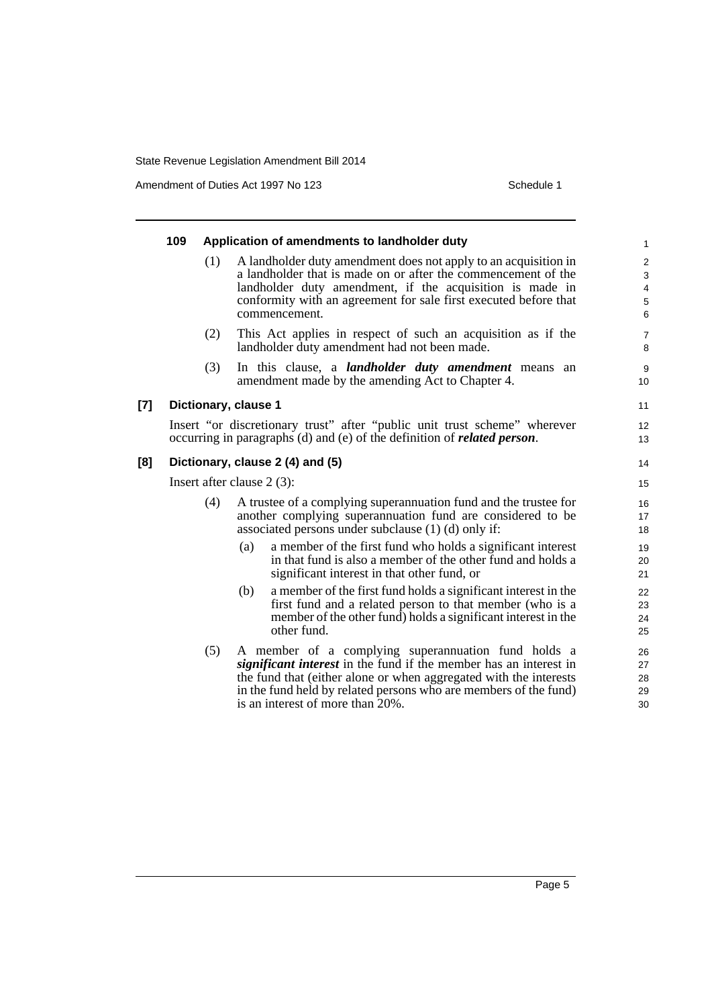Amendment of Duties Act 1997 No 123 Schedule 1

|       | 109                          |     | Application of amendments to landholder duty                                                                                                                                                                                                                                                                 | $\mathbf{1}$                                                            |  |
|-------|------------------------------|-----|--------------------------------------------------------------------------------------------------------------------------------------------------------------------------------------------------------------------------------------------------------------------------------------------------------------|-------------------------------------------------------------------------|--|
|       |                              | (1) | A landholder duty amendment does not apply to an acquisition in<br>a landholder that is made on or after the commencement of the<br>landholder duty amendment, if the acquisition is made in<br>conformity with an agreement for sale first executed before that<br>commencement.                            | $\sqrt{2}$<br>$\sqrt{3}$<br>$\overline{\mathbf{4}}$<br>$\mathbf 5$<br>6 |  |
|       |                              | (2) | This Act applies in respect of such an acquisition as if the<br>landholder duty amendment had not been made.                                                                                                                                                                                                 | $\overline{7}$<br>8                                                     |  |
|       |                              | (3) | In this clause, a <i>landholder duty amendment</i> means an<br>amendment made by the amending Act to Chapter 4.                                                                                                                                                                                              | 9<br>10                                                                 |  |
| $[7]$ |                              |     | Dictionary, clause 1                                                                                                                                                                                                                                                                                         | 11                                                                      |  |
|       |                              |     | Insert "or discretionary trust" after "public unit trust scheme" wherever<br>occurring in paragraphs (d) and (e) of the definition of <i>related person</i> .                                                                                                                                                | 12<br>13                                                                |  |
| [8]   |                              |     | Dictionary, clause 2 (4) and (5)                                                                                                                                                                                                                                                                             | 14                                                                      |  |
|       | Insert after clause $2(3)$ : |     |                                                                                                                                                                                                                                                                                                              |                                                                         |  |
|       |                              | (4) | A trustee of a complying superannuation fund and the trustee for<br>another complying superannuation fund are considered to be<br>associated persons under subclause $(1)$ $(d)$ only if:                                                                                                                    | 16<br>17<br>18                                                          |  |
|       |                              |     | a member of the first fund who holds a significant interest<br>(a)<br>in that fund is also a member of the other fund and holds a<br>significant interest in that other fund, or                                                                                                                             | 19<br>20<br>21                                                          |  |
|       |                              |     | a member of the first fund holds a significant interest in the<br>(b)<br>first fund and a related person to that member (who is a<br>member of the other fund) holds a significant interest in the<br>other fund.                                                                                            | 22<br>23<br>24<br>25                                                    |  |
|       |                              | (5) | A member of a complying superannuation fund holds a<br><i>significant interest</i> in the fund if the member has an interest in<br>the fund that (either alone or when aggregated with the interests<br>in the fund held by related persons who are members of the fund)<br>is an interest of more than 20%. | 26<br>27<br>28<br>29<br>30                                              |  |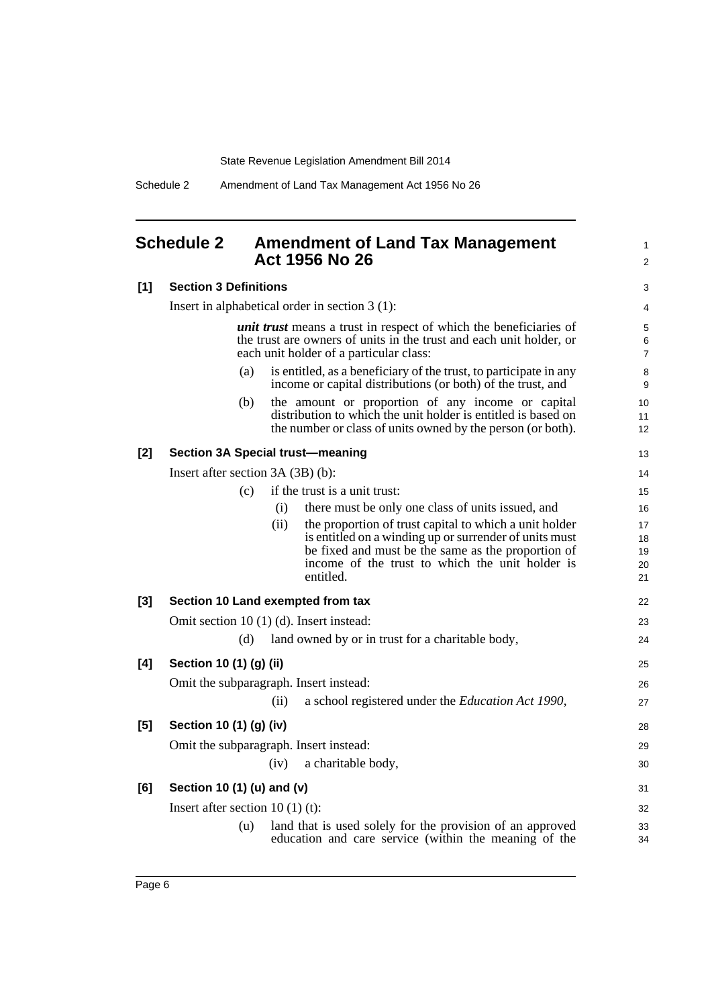Schedule 2 Amendment of Land Tax Management Act 1956 No 26

## <span id="page-6-0"></span>**Schedule 2 Amendment of Land Tax Management Act 1956 No 26**

1 2

## **[1] Section 3 Definitions**

| [1]   | <b>Section 3 Definitions</b>                                                                                                                                                               | $\mathsf 3$              |
|-------|--------------------------------------------------------------------------------------------------------------------------------------------------------------------------------------------|--------------------------|
|       | Insert in alphabetical order in section 3 (1):                                                                                                                                             | 4                        |
|       | <i>unit trust</i> means a trust in respect of which the beneficiaries of<br>the trust are owners of units in the trust and each unit holder, or<br>each unit holder of a particular class: | 5<br>6<br>$\overline{7}$ |
|       | is entitled, as a beneficiary of the trust, to participate in any<br>(a)<br>income or capital distributions (or both) of the trust, and                                                    | 8<br>9                   |
|       | (b)<br>the amount or proportion of any income or capital<br>distribution to which the unit holder is entitled is based on<br>the number or class of units owned by the person (or both).   | 10<br>11<br>12           |
| $[2]$ | <b>Section 3A Special trust-meaning</b>                                                                                                                                                    | 13                       |
|       | Insert after section $3A(3B)(b)$ :                                                                                                                                                         | 14                       |
|       | if the trust is a unit trust:<br>(c)                                                                                                                                                       | 15                       |
|       | there must be only one class of units issued, and<br>(i)                                                                                                                                   | 16                       |
|       | (ii)<br>the proportion of trust capital to which a unit holder                                                                                                                             | 17                       |
|       | is entitled on a winding up or surrender of units must                                                                                                                                     | 18                       |
|       | be fixed and must be the same as the proportion of<br>income of the trust to which the unit holder is                                                                                      | 19<br>20                 |
|       | entitled.                                                                                                                                                                                  | 21                       |
| $[3]$ | Section 10 Land exempted from tax                                                                                                                                                          | 22                       |
|       | Omit section 10 (1) (d). Insert instead:                                                                                                                                                   | 23                       |
|       | land owned by or in trust for a charitable body,<br>(d)                                                                                                                                    | 24                       |
| [4]   | Section 10 (1) (g) (ii)                                                                                                                                                                    | 25                       |
|       | Omit the subparagraph. Insert instead:                                                                                                                                                     | 26                       |
|       | a school registered under the Education Act 1990,<br>(ii)                                                                                                                                  | 27                       |
| [5]   | Section 10 (1) (g) (iv)                                                                                                                                                                    | 28                       |
|       | Omit the subparagraph. Insert instead:                                                                                                                                                     | 29                       |
|       | a charitable body,<br>(iv)                                                                                                                                                                 | 30                       |
| [6]   | Section 10 (1) (u) and (v)                                                                                                                                                                 | 31                       |
|       | Insert after section $10(1)(t)$ :                                                                                                                                                          | 32                       |
|       | land that is used solely for the provision of an approved<br>(u)<br>education and care service (within the meaning of the                                                                  | 33<br>34                 |
|       |                                                                                                                                                                                            |                          |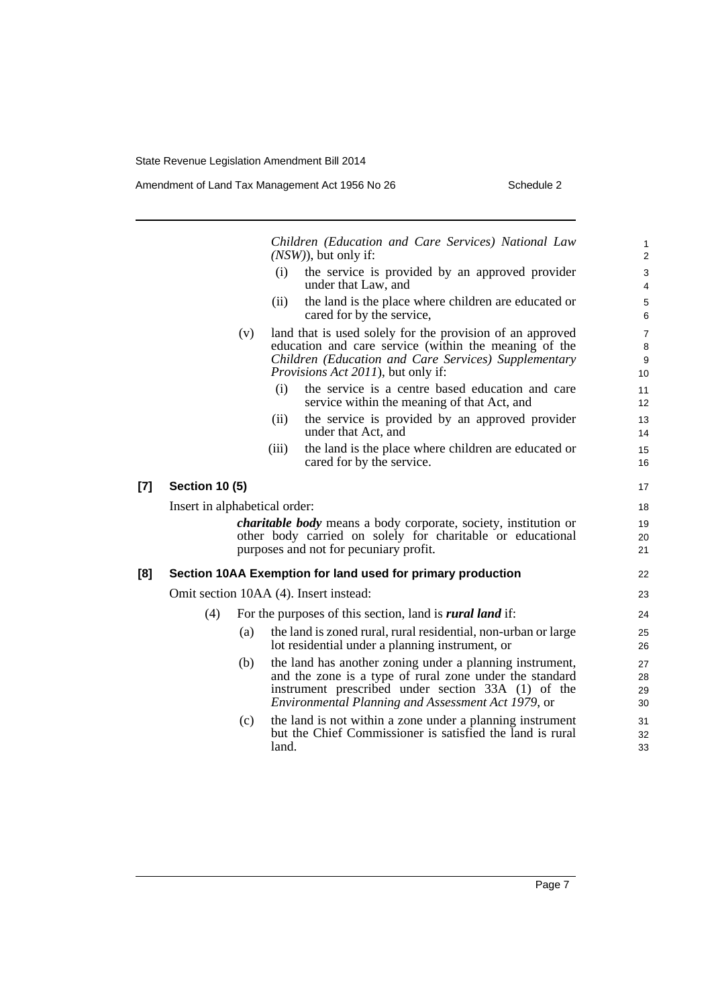|       |                               |     |       | Children (Education and Care Services) National Law<br>$(NSW)$ , but only if:                                                                                                                                                   | $\mathbf{1}$<br>$\overline{2}$                      |
|-------|-------------------------------|-----|-------|---------------------------------------------------------------------------------------------------------------------------------------------------------------------------------------------------------------------------------|-----------------------------------------------------|
|       |                               |     | (i)   | the service is provided by an approved provider<br>under that Law, and                                                                                                                                                          | 3<br>$\overline{4}$                                 |
|       |                               |     | (ii)  | the land is the place where children are educated or<br>cared for by the service,                                                                                                                                               | $\,$ 5 $\,$<br>6                                    |
|       |                               | (v) |       | land that is used solely for the provision of an approved<br>education and care service (within the meaning of the<br>Children (Education and Care Services) Supplementary<br><i>Provisions Act 2011</i> ), but only if:        | $\overline{7}$<br>$\,8\,$<br>$\boldsymbol{9}$<br>10 |
|       |                               |     | (i)   | the service is a centre based education and care<br>service within the meaning of that Act, and                                                                                                                                 | 11<br>12                                            |
|       |                               |     | (ii)  | the service is provided by an approved provider<br>under that Act, and                                                                                                                                                          | 13<br>14                                            |
|       |                               |     | (iii) | the land is the place where children are educated or<br>cared for by the service.                                                                                                                                               | 15<br>16                                            |
| $[7]$ | <b>Section 10 (5)</b>         |     |       |                                                                                                                                                                                                                                 | 17                                                  |
|       | Insert in alphabetical order: |     |       |                                                                                                                                                                                                                                 | 18                                                  |
|       |                               |     |       | <i>charitable body</i> means a body corporate, society, institution or<br>other body carried on solely for charitable or educational<br>purposes and not for pecuniary profit.                                                  | 19<br>20<br>21                                      |
| [8]   |                               |     |       | Section 10AA Exemption for land used for primary production                                                                                                                                                                     | 22                                                  |
|       |                               |     |       | Omit section 10AA (4). Insert instead:                                                                                                                                                                                          | 23                                                  |
|       | (4)                           |     |       | For the purposes of this section, land is <i>rural land</i> if:                                                                                                                                                                 | 24                                                  |
|       |                               | (a) |       | the land is zoned rural, rural residential, non-urban or large<br>lot residential under a planning instrument, or                                                                                                               | 25<br>26                                            |
|       |                               | (b) |       | the land has another zoning under a planning instrument,<br>and the zone is a type of rural zone under the standard<br>instrument prescribed under section 33A (1) of the<br>Environmental Planning and Assessment Act 1979, or | 27<br>28<br>29<br>30                                |
|       |                               | (c) | land. | the land is not within a zone under a planning instrument<br>but the Chief Commissioner is satisfied the land is rural                                                                                                          | 31<br>32<br>33                                      |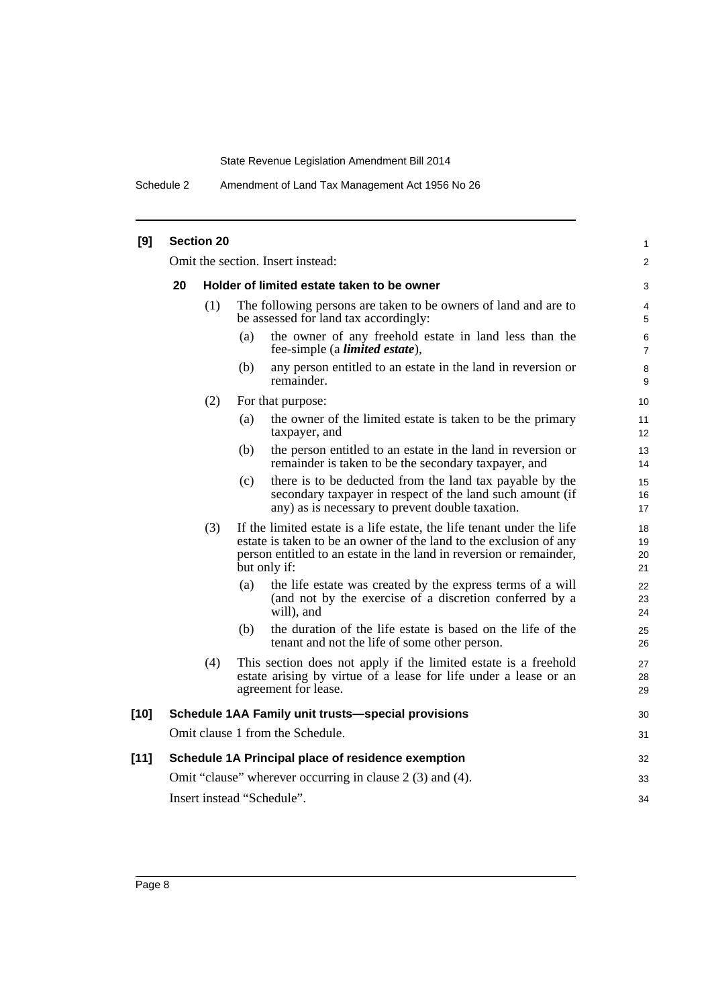Schedule 2 Amendment of Land Tax Management Act 1956 No 26

| [9]    | <b>Section 20</b>                                         |     |                                                                                                                                                                                                                                     |                      |  |  |  |
|--------|-----------------------------------------------------------|-----|-------------------------------------------------------------------------------------------------------------------------------------------------------------------------------------------------------------------------------------|----------------------|--|--|--|
|        | Omit the section. Insert instead:                         |     |                                                                                                                                                                                                                                     |                      |  |  |  |
|        | 20                                                        |     | Holder of limited estate taken to be owner                                                                                                                                                                                          | 3                    |  |  |  |
|        |                                                           | (1) | The following persons are taken to be owners of land and are to<br>be assessed for land tax accordingly:                                                                                                                            |                      |  |  |  |
|        |                                                           |     | the owner of any freehold estate in land less than the<br>(a)<br>fee-simple (a <i>limited estate</i> ),                                                                                                                             | 6<br>7               |  |  |  |
|        |                                                           |     | (b)<br>any person entitled to an estate in the land in reversion or<br>remainder.                                                                                                                                                   | 8<br>9               |  |  |  |
|        |                                                           | (2) | For that purpose:                                                                                                                                                                                                                   | 10                   |  |  |  |
|        |                                                           |     | the owner of the limited estate is taken to be the primary<br>(a)<br>taxpayer, and                                                                                                                                                  | 11<br>12             |  |  |  |
|        |                                                           |     | the person entitled to an estate in the land in reversion or<br>(b)<br>remainder is taken to be the secondary taxpayer, and                                                                                                         | 13<br>14             |  |  |  |
|        |                                                           |     | there is to be deducted from the land tax payable by the<br>(c)<br>secondary taxpayer in respect of the land such amount (if<br>any) as is necessary to prevent double taxation.                                                    | 15<br>16<br>17       |  |  |  |
|        |                                                           | (3) | If the limited estate is a life estate, the life tenant under the life<br>estate is taken to be an owner of the land to the exclusion of any<br>person entitled to an estate in the land in reversion or remainder,<br>but only if: | 18<br>19<br>20<br>21 |  |  |  |
|        |                                                           |     | (a)<br>the life estate was created by the express terms of a will<br>(and not by the exercise of a discretion conferred by a<br>will), and                                                                                          | 22<br>23<br>24       |  |  |  |
|        |                                                           |     | the duration of the life estate is based on the life of the<br>(b)<br>tenant and not the life of some other person.                                                                                                                 | 25<br>26             |  |  |  |
|        |                                                           | (4) | This section does not apply if the limited estate is a freehold<br>estate arising by virtue of a lease for life under a lease or an<br>agreement for lease.                                                                         | 27<br>28<br>29       |  |  |  |
| $[10]$ |                                                           |     | <b>Schedule 1AA Family unit trusts-special provisions</b>                                                                                                                                                                           | 30                   |  |  |  |
|        |                                                           |     | Omit clause 1 from the Schedule.                                                                                                                                                                                                    | 31                   |  |  |  |
| [11]   |                                                           |     | Schedule 1A Principal place of residence exemption                                                                                                                                                                                  | 32                   |  |  |  |
|        | Omit "clause" wherever occurring in clause 2 (3) and (4). |     |                                                                                                                                                                                                                                     |                      |  |  |  |
|        | Insert instead "Schedule".                                |     |                                                                                                                                                                                                                                     |                      |  |  |  |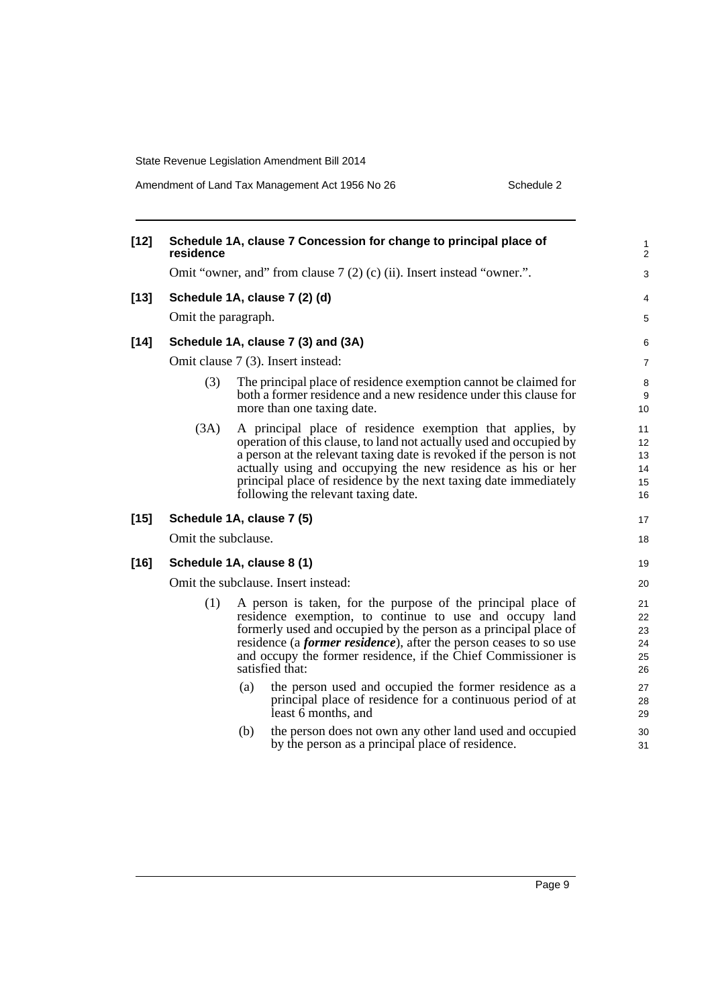Amendment of Land Tax Management Act 1956 No 26 Schedule 2

| $[12]$ | residence                          |     | Schedule 1A, clause 7 Concession for change to principal place of                                                                                                                                                                                                                                                                                                                   | 1<br>$\overline{c}$              |  |  |
|--------|------------------------------------|-----|-------------------------------------------------------------------------------------------------------------------------------------------------------------------------------------------------------------------------------------------------------------------------------------------------------------------------------------------------------------------------------------|----------------------------------|--|--|
|        |                                    |     | Omit "owner, and" from clause 7 (2) (c) (ii). Insert instead "owner.".                                                                                                                                                                                                                                                                                                              | 3                                |  |  |
| $[13]$ |                                    |     | Schedule 1A, clause 7 (2) (d)                                                                                                                                                                                                                                                                                                                                                       | 4                                |  |  |
|        | Omit the paragraph.                |     |                                                                                                                                                                                                                                                                                                                                                                                     |                                  |  |  |
| $[14]$ | Schedule 1A, clause 7 (3) and (3A) |     |                                                                                                                                                                                                                                                                                                                                                                                     |                                  |  |  |
|        |                                    |     | Omit clause 7 (3). Insert instead:                                                                                                                                                                                                                                                                                                                                                  | 7                                |  |  |
|        | (3)                                |     | The principal place of residence exemption cannot be claimed for<br>both a former residence and a new residence under this clause for<br>more than one taxing date.                                                                                                                                                                                                                 | 8<br>9<br>10                     |  |  |
|        | (3A)                               |     | A principal place of residence exemption that applies, by<br>operation of this clause, to land not actually used and occupied by<br>a person at the relevant taxing date is revoked if the person is not<br>actually using and occupying the new residence as his or her<br>principal place of residence by the next taxing date immediately<br>following the relevant taxing date. | 11<br>12<br>13<br>14<br>15<br>16 |  |  |
| $[15]$ | Schedule 1A, clause 7 (5)          |     |                                                                                                                                                                                                                                                                                                                                                                                     | 17                               |  |  |
|        | Omit the subclause.                |     |                                                                                                                                                                                                                                                                                                                                                                                     | 18                               |  |  |
| $[16]$ | Schedule 1A, clause 8 (1)          |     |                                                                                                                                                                                                                                                                                                                                                                                     | 19                               |  |  |
|        |                                    |     | Omit the subclause. Insert instead:                                                                                                                                                                                                                                                                                                                                                 | 20                               |  |  |
|        | (1)                                |     | A person is taken, for the purpose of the principal place of<br>residence exemption, to continue to use and occupy land<br>formerly used and occupied by the person as a principal place of<br>residence (a <i>former residence</i> ), after the person ceases to so use<br>and occupy the former residence, if the Chief Commissioner is<br>satisfied that:                        | 21<br>22<br>23<br>24<br>25<br>26 |  |  |
|        |                                    | (a) | the person used and occupied the former residence as a<br>principal place of residence for a continuous period of at<br>least $\bar{6}$ months, and                                                                                                                                                                                                                                 | 27<br>28<br>29                   |  |  |
|        |                                    | (b) | the person does not own any other land used and occupied<br>by the person as a principal place of residence.                                                                                                                                                                                                                                                                        | 30<br>31                         |  |  |
|        |                                    |     |                                                                                                                                                                                                                                                                                                                                                                                     |                                  |  |  |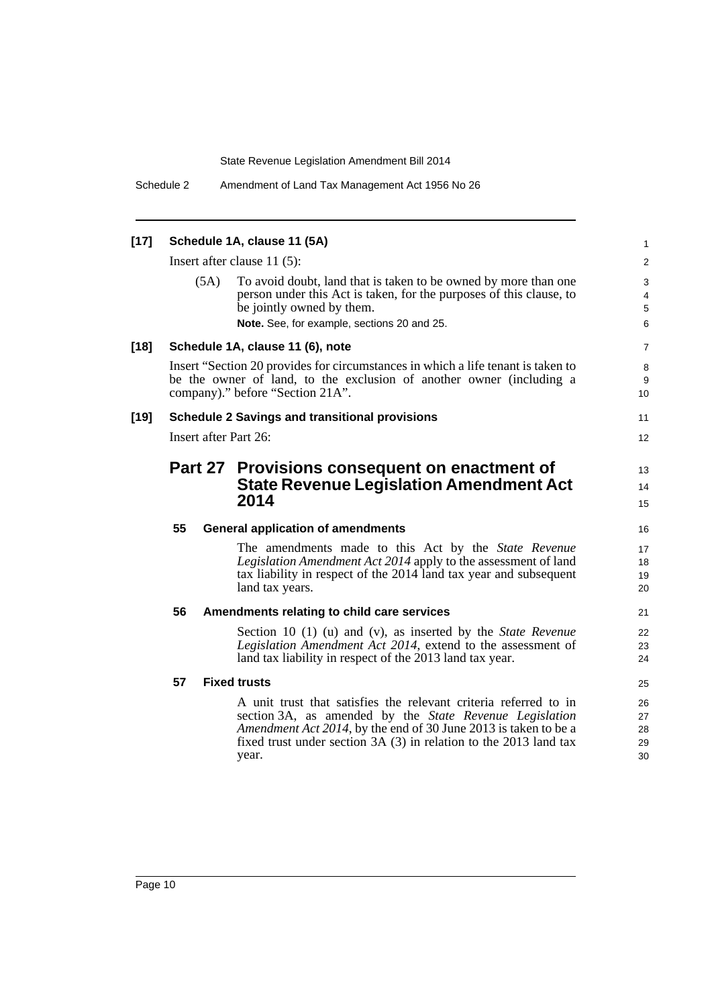| $[17]$ |    |      | Schedule 1A, clause 11 (5A)                                                                                                                                                                                                                                                          | $\mathbf{1}$                                    |
|--------|----|------|--------------------------------------------------------------------------------------------------------------------------------------------------------------------------------------------------------------------------------------------------------------------------------------|-------------------------------------------------|
|        |    |      | Insert after clause $11(5)$ :                                                                                                                                                                                                                                                        | 2                                               |
|        |    | (5A) | To avoid doubt, land that is taken to be owned by more than one<br>person under this Act is taken, for the purposes of this clause, to<br>be jointly owned by them.<br>Note. See, for example, sections 20 and 25.                                                                   | 3<br>$\overline{\mathbf{4}}$<br>$\sqrt{5}$<br>6 |
| $[18]$ |    |      | Schedule 1A, clause 11 (6), note                                                                                                                                                                                                                                                     | 7                                               |
|        |    |      | Insert "Section 20 provides for circumstances in which a life tenant is taken to<br>be the owner of land, to the exclusion of another owner (including a<br>company)." before "Section 21A".                                                                                         | 8<br>9<br>10                                    |
| $[19]$ |    |      | <b>Schedule 2 Savings and transitional provisions</b>                                                                                                                                                                                                                                | 11                                              |
|        |    |      | Insert after Part 26:                                                                                                                                                                                                                                                                | $12 \overline{ }$                               |
|        |    |      | Part 27 Provisions consequent on enactment of<br><b>State Revenue Legislation Amendment Act</b><br>2014                                                                                                                                                                              | 13<br>14<br>15                                  |
|        | 55 |      | <b>General application of amendments</b>                                                                                                                                                                                                                                             | 16                                              |
|        |    |      | The amendments made to this Act by the State Revenue<br>Legislation Amendment Act 2014 apply to the assessment of land<br>tax liability in respect of the 2014 land tax year and subsequent<br>land tax years.                                                                       | 17<br>18<br>19<br>20                            |
|        | 56 |      | Amendments relating to child care services                                                                                                                                                                                                                                           | 21                                              |
|        |    |      | Section 10 (1) (u) and (v), as inserted by the <i>State Revenue</i><br>Legislation Amendment Act 2014, extend to the assessment of<br>land tax liability in respect of the 2013 land tax year.                                                                                       | 22<br>23<br>24                                  |
|        | 57 |      | <b>Fixed trusts</b>                                                                                                                                                                                                                                                                  | 25                                              |
|        |    |      | A unit trust that satisfies the relevant criteria referred to in<br>section 3A, as amended by the <i>State Revenue Legislation</i><br>Amendment Act 2014, by the end of 30 June 2013 is taken to be a<br>fixed trust under section $3A(3)$ in relation to the 2013 land tax<br>year. | 26<br>27<br>28<br>29<br>30                      |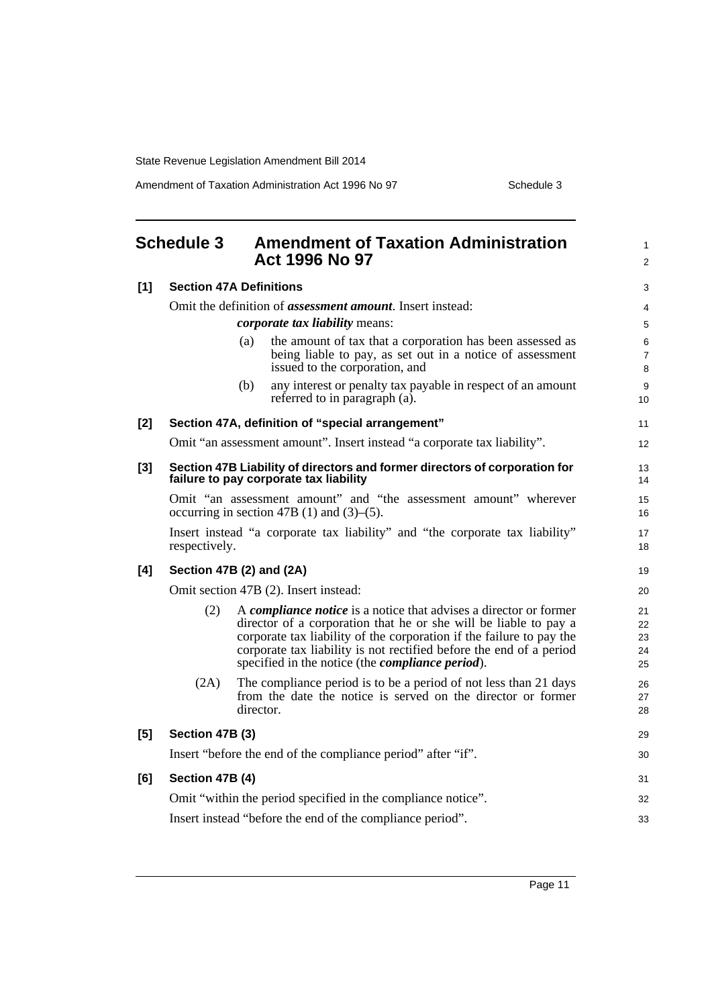Amendment of Taxation Administration Act 1996 No 97 Schedule 3

<span id="page-11-0"></span>

|       | <b>Schedule 3</b>                                                                                                    |           | <b>Amendment of Taxation Administration</b><br><b>Act 1996 No 97</b>                                                                                                                                                                                                                                                                                    | 1<br>$\overline{c}$        |  |
|-------|----------------------------------------------------------------------------------------------------------------------|-----------|---------------------------------------------------------------------------------------------------------------------------------------------------------------------------------------------------------------------------------------------------------------------------------------------------------------------------------------------------------|----------------------------|--|
| [1]   | <b>Section 47A Definitions</b>                                                                                       |           |                                                                                                                                                                                                                                                                                                                                                         | 3                          |  |
|       |                                                                                                                      |           | Omit the definition of <i>assessment amount</i> . Insert instead:                                                                                                                                                                                                                                                                                       | 4                          |  |
|       |                                                                                                                      |           | <i>corporate tax liability means:</i>                                                                                                                                                                                                                                                                                                                   | 5                          |  |
|       |                                                                                                                      | (a)       | the amount of tax that a corporation has been assessed as<br>being liable to pay, as set out in a notice of assessment<br>issued to the corporation, and                                                                                                                                                                                                | 6<br>7<br>8                |  |
|       |                                                                                                                      | (b)       | any interest or penalty tax payable in respect of an amount<br>referred to in paragraph (a).                                                                                                                                                                                                                                                            | 9<br>10                    |  |
| $[2]$ |                                                                                                                      |           | Section 47A, definition of "special arrangement"                                                                                                                                                                                                                                                                                                        | 11                         |  |
|       |                                                                                                                      |           | Omit "an assessment amount". Insert instead "a corporate tax liability".                                                                                                                                                                                                                                                                                | 12                         |  |
| $[3]$ |                                                                                                                      |           | Section 47B Liability of directors and former directors of corporation for<br>failure to pay corporate tax liability                                                                                                                                                                                                                                    | 13<br>14                   |  |
|       | Omit "an assessment amount" and "the assessment amount" wherever<br>occurring in section 47B (1) and $(3)$ – $(5)$ . |           |                                                                                                                                                                                                                                                                                                                                                         |                            |  |
|       | Insert instead "a corporate tax liability" and "the corporate tax liability"<br>respectively.                        |           |                                                                                                                                                                                                                                                                                                                                                         | 17<br>18                   |  |
| [4]   | Section 47B (2) and (2A)                                                                                             |           |                                                                                                                                                                                                                                                                                                                                                         | 19                         |  |
|       | Omit section 47B (2). Insert instead:                                                                                |           |                                                                                                                                                                                                                                                                                                                                                         |                            |  |
|       | (2)                                                                                                                  |           | A <i>compliance notice</i> is a notice that advises a director or former<br>director of a corporation that he or she will be liable to pay a<br>corporate tax liability of the corporation if the failure to pay the<br>corporate tax liability is not rectified before the end of a period<br>specified in the notice (the <i>compliance period</i> ). | 21<br>22<br>23<br>24<br>25 |  |
|       | (2A)                                                                                                                 | director. | The compliance period is to be a period of not less than 21 days<br>from the date the notice is served on the director or former                                                                                                                                                                                                                        | 26<br>27<br>28             |  |
| [5]   | Section 47B (3)                                                                                                      |           |                                                                                                                                                                                                                                                                                                                                                         | 29                         |  |
|       |                                                                                                                      |           | Insert "before the end of the compliance period" after "if".                                                                                                                                                                                                                                                                                            | 30                         |  |
| [6]   | Section 47B (4)                                                                                                      |           |                                                                                                                                                                                                                                                                                                                                                         | 31                         |  |
|       |                                                                                                                      |           | Omit "within the period specified in the compliance notice".                                                                                                                                                                                                                                                                                            | 32                         |  |
|       | Insert instead "before the end of the compliance period".                                                            |           |                                                                                                                                                                                                                                                                                                                                                         | 33                         |  |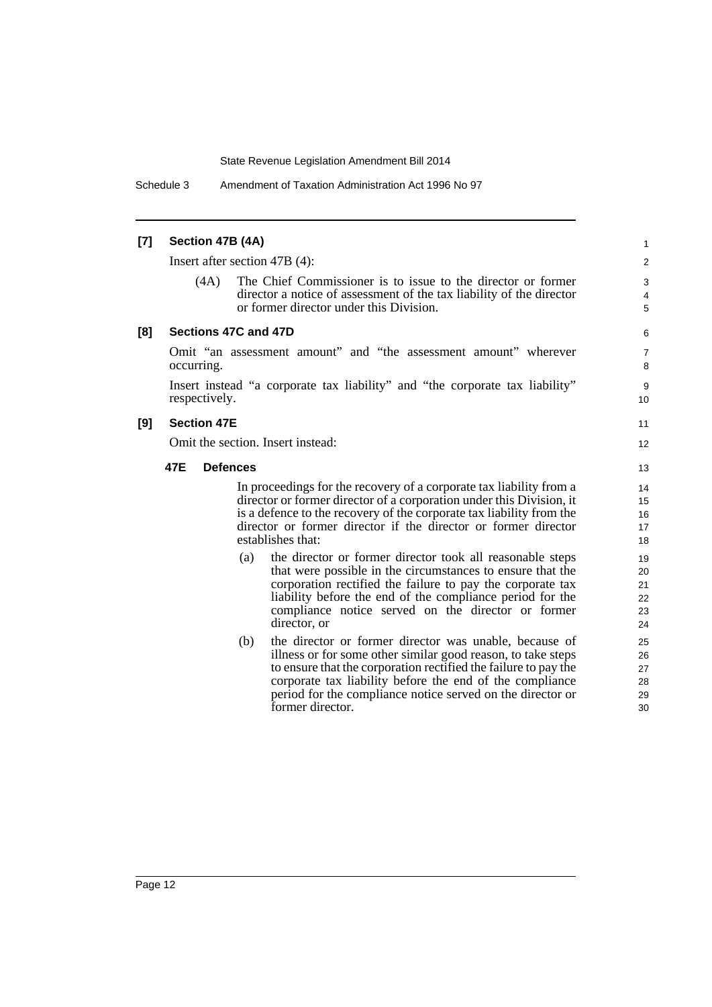Schedule 3 Amendment of Taxation Administration Act 1996 No 97

### **[7] Section 47B (4A)**

Insert after section 47B (4):

(4A) The Chief Commissioner is to issue to the director or former director a notice of assessment of the tax liability of the director or former director under this Division.

11 12

#### **[8] Sections 47C and 47D**

Omit "an assessment amount" and "the assessment amount" wherever occurring.

Insert instead "a corporate tax liability" and "the corporate tax liability" respectively.

#### **[9] Section 47E**

Omit the section. Insert instead:

#### **47E Defences**

In proceedings for the recovery of a corporate tax liability from a director or former director of a corporation under this Division, it is a defence to the recovery of the corporate tax liability from the director or former director if the director or former director establishes that:

- (a) the director or former director took all reasonable steps that were possible in the circumstances to ensure that the corporation rectified the failure to pay the corporate tax liability before the end of the compliance period for the compliance notice served on the director or former director, or
- (b) the director or former director was unable, because of illness or for some other similar good reason, to take steps to ensure that the corporation rectified the failure to pay the corporate tax liability before the end of the compliance period for the compliance notice served on the director or former director.